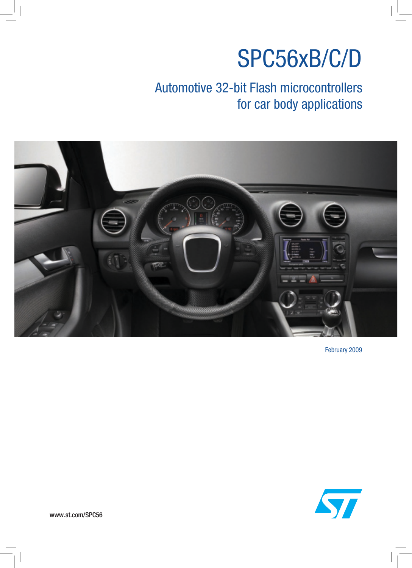# SPC56xB/C/D

## Automotive 32-bit Flash microcontrollers for car body applications



February 2009



www.st.com/SPC56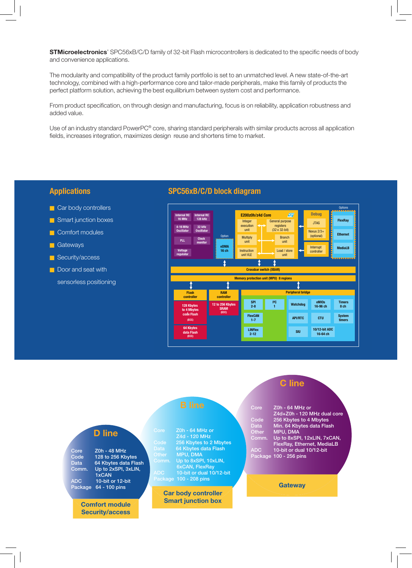**STMicroelectronics**' SPC56xB/C/D family of 32-bit Flash microcontrollers is dedicated to the specific needs of body and convenience applications.

The modularity and compatibility of the product family portfolio is set to an unmatched level. A new state-of-the-art technology, combined with a high-performance core and tailor-made peripherals, make this family of products the perfect platform solution, achieving the best equilibrium between system cost and performance.

From product specification, on through design and manufacturing, focus is on reliability, application robustness and added value.

Use of an industry standard PowerPC® core, sharing standard peripherals with similar products across all application fields, increases integration, maximizes design reuse and shortens time to market.

### **Applications**

- $\blacksquare$  Car body controllers
- **n** Smart junction boxes
- **n** Comfort modules
- **n** Gateways
- **n** Security/access
- Door and seat with
- sensorless positioning

### **SPC56xB/C/D block diagram**



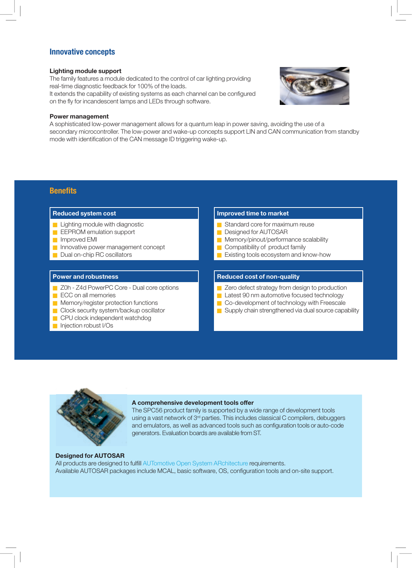### **Innovative concepts**

### **Lighting module support**

The family features a module dedicated to the control of car lighting providing real-time diagnostic feedback for 100% of the loads.



### **Power management**

A sophisticated low-power management allows for a quantum leap in power saving, avoiding the use of a secondary microcontroller. The low-power and wake-up concepts support LIN and CAN communication from standby mode with identification of the CAN message ID triggering wake-up.

### **Benefits**

- $\blacksquare$  Lighting module with diagnostic
- **n** EEPROM emulation support
- **n** Improved EMI
- n Innovative power management concept
- Dual on-chip RC oscillators

- Z0h Z4d PowerPC Core Dual core options
- **n** ECC on all memories
- **n** Memory/register protection functions
- **n** Clock security system/backup oscillator
- n CPU clock independent watchdog
- niection robust I/Os

### **Reduced system cost IMPROVEGIST CONSUMING THE IMPROVED THE IMPROVED THE IMPROVED THE IMPROVED THE IMPROVED THE IMPROVED THE IMPROVED THE IMPROVED THE IMPROVED THE IMPROVED THE IMPROVED THE IMPROVED THE IMPROVED THE IMPR**

- Standard core for maximum reuse
- **n** Designed for AUTOSAR
- **n** Memory/pinout/performance scalability
- $\Box$  Compatibility of product family
- **n** Existing tools ecosystem and know-how

### **Power and robustness <b>Reduced cost of non-quality Reduced cost of non-quality**

- **E** Zero defect strategy from design to production
- **n** Latest 90 nm automotive focused technology
- Co-development of technology with Freescale
- $\blacksquare$  Supply chain strengthened via dual source capability



### **A comprehensive development tools offer**

The SPC56 product family is supported by a wide range of development tools using a vast network of 3<sup>rd</sup> parties. This includes classical C compilers, debuggers and emulators, as well as advanced tools such as configuration tools or auto-code generators. Evaluation boards are available from ST.

### **Designed for AUTOSAR**

All products are designed to fulfill AUTomotive Open System ARchitecture requirements. Available AUTOSAR packages include MCAL, basic software, OS, configuration tools and on-site support.